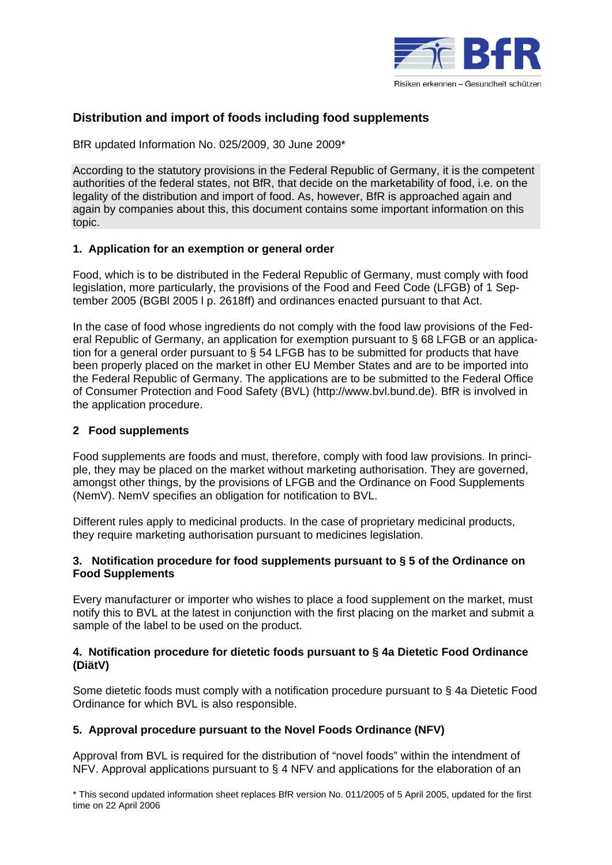

# **Distribution and import of foods including food supplements**

BfR updated Information No. 025/2009, 30 June 2009\*

According to the statutory provisions in the Federal Republic of Germany, it is the competent authorities of the federal states, not BfR, that decide on the marketability of food, i.e. on the legality of the distribution and import of food. As, however, BfR is approached again and again by companies about this, this document contains some important information on this topic.

### **1. Application for an exemption or general order**

Food, which is to be distributed in the Federal Republic of Germany, must comply with food legislation, more particularly, the provisions of the Food and Feed Code (LFGB) of 1 September 2005 (BGBl 2005 l p. 2618ff) and ordinances enacted pursuant to that Act.

In the case of food whose ingredients do not comply with the food law provisions of the Federal Republic of Germany, an application for exemption pursuant to § 68 LFGB or an application for a general order pursuant to § 54 LFGB has to be submitted for products that have been properly placed on the market in other EU Member States and are to be imported into the Federal Republic of Germany. The applications are to be submitted to the Federal Office of Consumer Protection and Food Safety (BVL) (http://www.bvl.bund.de). BfR is involved in the application procedure.

### **2 Food supplements**

Food supplements are foods and must, therefore, comply with food law provisions. In principle, they may be placed on the market without marketing authorisation. They are governed, amongst other things, by the provisions of LFGB and the Ordinance on Food Supplements (NemV). NemV specifies an obligation for notification to BVL.

Different rules apply to medicinal products. In the case of proprietary medicinal products, they require marketing authorisation pursuant to medicines legislation.

### **3. Notification procedure for food supplements pursuant to § 5 of the Ordinance on Food Supplements**

Every manufacturer or importer who wishes to place a food supplement on the market, must notify this to BVL at the latest in conjunction with the first placing on the market and submit a sample of the label to be used on the product.

### **4. Notification procedure for dietetic foods pursuant to § 4a Dietetic Food Ordinance (DiätV)**

Some dietetic foods must comply with a notification procedure pursuant to § 4a Dietetic Food Ordinance for which BVL is also responsible.

## **5. Approval procedure pursuant to the Novel Foods Ordinance (NFV)**

Approval from BVL is required for the distribution of "novel foods" within the intendment of NFV. Approval applications pursuant to § 4 NFV and applications for the elaboration of an

\* This second updated information sheet replaces BfR version No. 011/2005 of 5 April 2005, updated for the first time on 22 April 2006